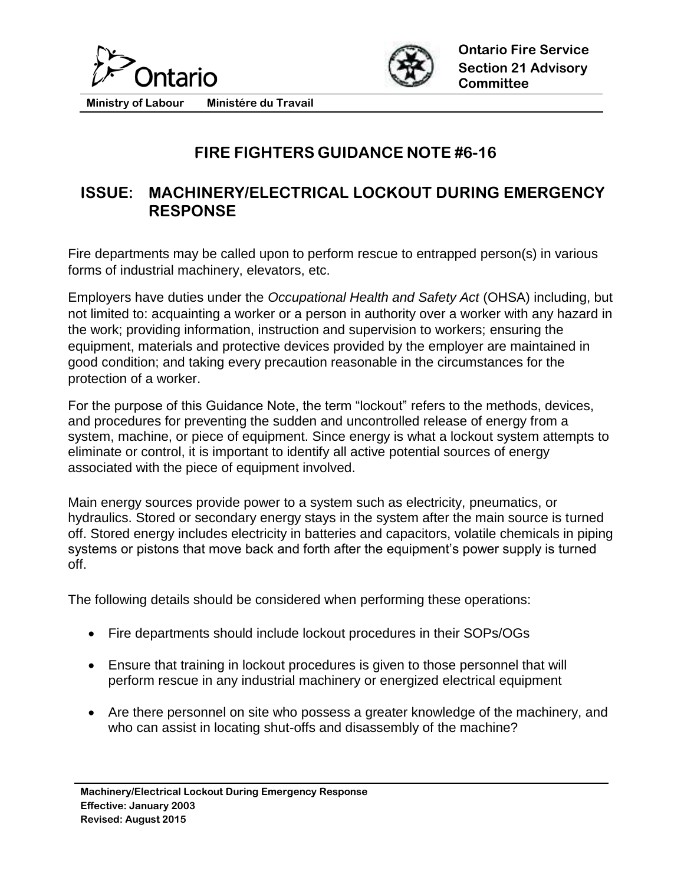



**Ministry of Labour Ministére du Travail**

## **FIRE FIGHTERS GUIDANCE NOTE #6-16**

## **ISSUE: MACHINERY/ELECTRICAL LOCKOUT DURING EMERGENCY RESPONSE**

Fire departments may be called upon to perform rescue to entrapped person(s) in various forms of industrial machinery, elevators, etc.

Employers have duties under the *Occupational Health and Safety Act* (OHSA) including, but not limited to: acquainting a worker or a person in authority over a worker with any hazard in the work; providing information, instruction and supervision to workers; ensuring the equipment, materials and protective devices provided by the employer are maintained in good condition; and taking every precaution reasonable in the circumstances for the protection of a worker.

For the purpose of this Guidance Note, the term "lockout" refers to the methods, devices, and procedures for preventing the sudden and uncontrolled release of energy from a system, machine, or piece of equipment. Since energy is what a lockout system attempts to eliminate or control, it is important to identify all active potential sources of energy associated with the piece of equipment involved.

Main energy sources provide power to a system such as electricity, pneumatics, or hydraulics. Stored or secondary energy stays in the system after the main source is turned off. Stored energy includes electricity in batteries and capacitors, volatile chemicals in piping systems or pistons that move back and forth after the equipment's power supply is turned off.

The following details should be considered when performing these operations:

- Fire departments should include lockout procedures in their SOPs/OGs
- Ensure that training in lockout procedures is given to those personnel that will perform rescue in any industrial machinery or energized electrical equipment
- Are there personnel on site who possess a greater knowledge of the machinery, and who can assist in locating shut-offs and disassembly of the machine?